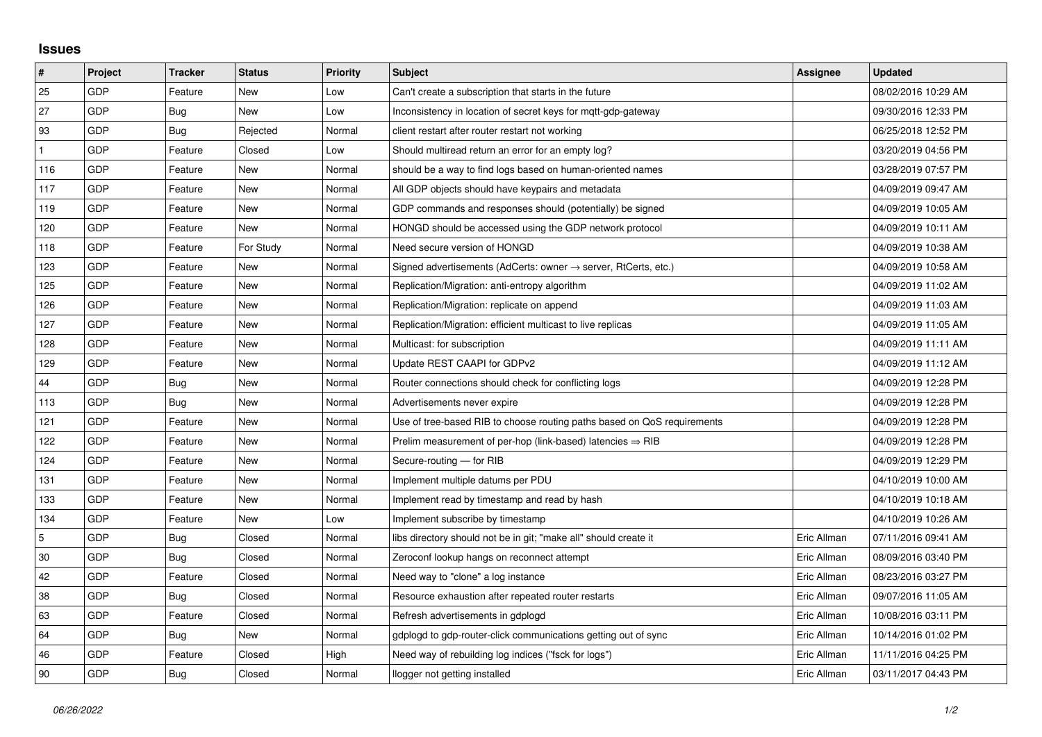## **Issues**

| $\sharp$        | Project    | <b>Tracker</b> | <b>Status</b> | <b>Priority</b> | <b>Subject</b>                                                             | Assignee    | <b>Updated</b>      |
|-----------------|------------|----------------|---------------|-----------------|----------------------------------------------------------------------------|-------------|---------------------|
| 25              | GDP        | Feature        | New           | Low             | Can't create a subscription that starts in the future                      |             | 08/02/2016 10:29 AM |
| 27              | GDP        | Bug            | New           | Low             | Inconsistency in location of secret keys for mqtt-gdp-gateway              |             | 09/30/2016 12:33 PM |
| 93              | GDP        | Bug            | Rejected      | Normal          | client restart after router restart not working                            |             | 06/25/2018 12:52 PM |
| $\mathbf{1}$    | GDP        | Feature        | Closed        | Low             | Should multiread return an error for an empty log?                         |             | 03/20/2019 04:56 PM |
| 116             | GDP        | Feature        | New           | Normal          | should be a way to find logs based on human-oriented names                 |             | 03/28/2019 07:57 PM |
| 117             | GDP        | Feature        | New           | Normal          | All GDP objects should have keypairs and metadata                          |             | 04/09/2019 09:47 AM |
| 119             | GDP        | Feature        | New           | Normal          | GDP commands and responses should (potentially) be signed                  |             | 04/09/2019 10:05 AM |
| 120             | GDP        | Feature        | New           | Normal          | HONGD should be accessed using the GDP network protocol                    |             | 04/09/2019 10:11 AM |
| 118             | GDP        | Feature        | For Study     | Normal          | Need secure version of HONGD                                               |             | 04/09/2019 10:38 AM |
| 123             | GDP        | Feature        | New           | Normal          | Signed advertisements (AdCerts: owner $\rightarrow$ server, RtCerts, etc.) |             | 04/09/2019 10:58 AM |
| 125             | GDP        | Feature        | New           | Normal          | Replication/Migration: anti-entropy algorithm                              |             | 04/09/2019 11:02 AM |
| 126             | GDP        | Feature        | New           | Normal          | Replication/Migration: replicate on append                                 |             | 04/09/2019 11:03 AM |
| 127             | GDP        | Feature        | New           | Normal          | Replication/Migration: efficient multicast to live replicas                |             | 04/09/2019 11:05 AM |
| 128             | GDP        | Feature        | <b>New</b>    | Normal          | Multicast: for subscription                                                |             | 04/09/2019 11:11 AM |
| 129             | GDP        | Feature        | New           | Normal          | Update REST CAAPI for GDPv2                                                |             | 04/09/2019 11:12 AM |
| 44              | GDP        | Bug            | New           | Normal          | Router connections should check for conflicting logs                       |             | 04/09/2019 12:28 PM |
| 113             | GDP        | Bug            | <b>New</b>    | Normal          | Advertisements never expire                                                |             | 04/09/2019 12:28 PM |
| 121             | GDP        | Feature        | New           | Normal          | Use of tree-based RIB to choose routing paths based on QoS requirements    |             | 04/09/2019 12:28 PM |
| 122             | GDP        | Feature        | <b>New</b>    | Normal          | Prelim measurement of per-hop (link-based) latencies $\Rightarrow$ RIB     |             | 04/09/2019 12:28 PM |
| 124             | GDP        | Feature        | New           | Normal          | Secure-routing - for RIB                                                   |             | 04/09/2019 12:29 PM |
| 131             | GDP        | Feature        | New           | Normal          | Implement multiple datums per PDU                                          |             | 04/10/2019 10:00 AM |
| 133             | GDP        | Feature        | New           | Normal          | Implement read by timestamp and read by hash                               |             | 04/10/2019 10:18 AM |
| 134             | GDP        | Feature        | New           | Low             | Implement subscribe by timestamp                                           |             | 04/10/2019 10:26 AM |
| $5\phantom{.0}$ | GDP        | Bug            | Closed        | Normal          | libs directory should not be in git; "make all" should create it           | Eric Allman | 07/11/2016 09:41 AM |
| 30              | <b>GDP</b> | Bug            | Closed        | Normal          | Zeroconf lookup hangs on reconnect attempt                                 | Eric Allman | 08/09/2016 03:40 PM |
| 42              | GDP        | Feature        | Closed        | Normal          | Need way to "clone" a log instance                                         | Eric Allman | 08/23/2016 03:27 PM |
| $38\,$          | GDP        | Bug            | Closed        | Normal          | Resource exhaustion after repeated router restarts                         | Eric Allman | 09/07/2016 11:05 AM |
| 63              | GDP        | Feature        | Closed        | Normal          | Refresh advertisements in gdplogd                                          | Eric Allman | 10/08/2016 03:11 PM |
| 64              | GDP        | Bug            | New           | Normal          | gdplogd to gdp-router-click communications getting out of sync             | Eric Allman | 10/14/2016 01:02 PM |
| 46              | GDP        | Feature        | Closed        | High            | Need way of rebuilding log indices ("fsck for logs")                       | Eric Allman | 11/11/2016 04:25 PM |
| 90              | GDP        | Bug            | Closed        | Normal          | llogger not getting installed                                              | Eric Allman | 03/11/2017 04:43 PM |